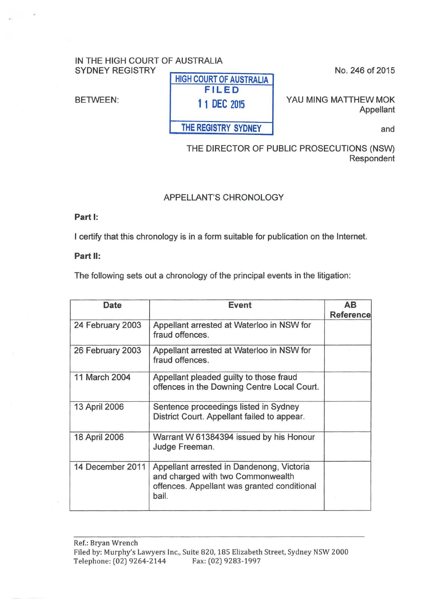## IN THE HIGH COURT OF AUSTRALIA SYDNEY REGISTRY No. 246 of 2015

BETWEEN:

HIGH COURT OF AUSTRALIA FILED 11 DEC 2015 THE REGISTRY SYDNEY

YAU MING MATTHEW MOK Appellant

and

THE DIRECTOR OF PUBLIC PROSECUTIONS (NSW) Respondent

## APPELLANT'S CHRONOLOGY

Part 1:

I certify that this chronology is in a form suitable for publication on the Internet.

Part II:

The following sets out a chronology of the principal events in the litigation:

| Date             | <b>Event</b>                                                                                                                           | AB<br>Reference |
|------------------|----------------------------------------------------------------------------------------------------------------------------------------|-----------------|
| 24 February 2003 | Appellant arrested at Waterloo in NSW for<br>fraud offences.                                                                           |                 |
| 26 February 2003 | Appellant arrested at Waterloo in NSW for<br>fraud offences.                                                                           |                 |
| 11 March 2004    | Appellant pleaded guilty to those fraud<br>offences in the Downing Centre Local Court.                                                 |                 |
| 13 April 2006    | Sentence proceedings listed in Sydney<br>District Court. Appellant failed to appear.                                                   |                 |
| 18 April 2006    | Warrant W 61384394 issued by his Honour<br>Judge Freeman.                                                                              |                 |
| 14 December 2011 | Appellant arrested in Dandenong, Victoria<br>and charged with two Commonwealth<br>offences. Appellant was granted conditional<br>bail. |                 |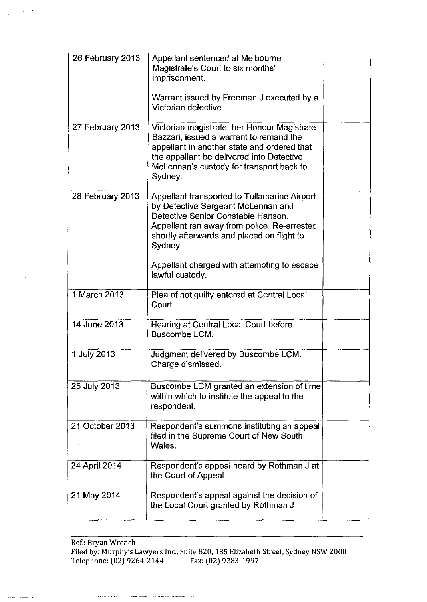| 26 February 2013 | Appellant sentenced at Melbourne<br>Magistrate's Court to six months'<br>imprisonment.<br>Warrant issued by Freeman J executed by a<br>Victorian detective.                                                                               |  |
|------------------|-------------------------------------------------------------------------------------------------------------------------------------------------------------------------------------------------------------------------------------------|--|
| 27 February 2013 | Victorian magistrate, her Honour Magistrate<br>Bazzari, issued a warrant to remand the<br>appellant in another state and ordered that<br>the appellant be delivered into Detective<br>McLennan's custody for transport back to<br>Sydney. |  |
| 28 February 2013 | Appellant transported to Tullamarine Airport<br>by Detective Sergeant McLennan and<br>Detective Senior Constable Hanson.<br>Appellant ran away from police. Re-arrested<br>shortly afterwards and placed on flight to<br>Sydney.          |  |
|                  | Appellant charged with attempting to escape<br>lawful custody.                                                                                                                                                                            |  |
| 1 March 2013     | Plea of not guilty entered at Central Local<br>Court.                                                                                                                                                                                     |  |
| 14 June 2013     | Hearing at Central Local Court before<br>Buscombe LCM.                                                                                                                                                                                    |  |
| 1 July 2013      | Judgment delivered by Buscombe LCM.<br>Charge dismissed.                                                                                                                                                                                  |  |
| 25 July 2013     | Buscombe LCM granted an extension of time<br>within which to institute the appeal to the<br>respondent.                                                                                                                                   |  |
| 21 October 2013  | Respondent's summons instituting an appeal<br>filed in the Supreme Court of New South<br>Wales.                                                                                                                                           |  |
| 24 April 2014    | Respondent's appeal heard by Rothman J at<br>the Court of Appeal                                                                                                                                                                          |  |
| 21 May 2014      | Respondent's appeal against the decision of<br>the Local Court granted by Rothman J                                                                                                                                                       |  |

 $\sim 10^{-10}$ 

 $\overline{\phantom{a}}$